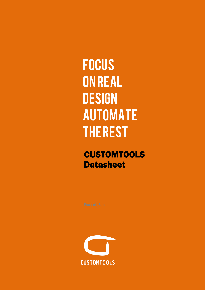**FOCUS ON REAL DESIGN** AUTOMATE THE REST Ī

# CUSTOMTOOLS **Datasheet**

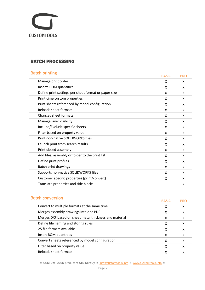

### BATCH PROCESSING

#### Batch printing

| <b>DATCH DETECTION</b>                               | <b>BASIC</b> | <b>PRO</b> |
|------------------------------------------------------|--------------|------------|
| Manage print order                                   | X            | X          |
| Inserts BOM quantities                               | X            | X          |
| Define print settings per sheet format or paper size | X            | X          |
| Print-time custom properties                         | X            | X          |
| Print sheets referenced by model configuration       | X            | X          |
| <b>Reloads sheet formats</b>                         | X            | X          |
| Changes sheet formats                                | X            | X          |
| Manage layer visibility                              | X            | X          |
| Include/Exclude specific sheets                      | X            | X          |
| Filter based on property value                       | X            | X          |
| Print non-native SOLIDWORKS files                    | X            | X          |
| Launch print from search results                     | X            | X          |
| Print closed assembly                                | X            | X          |
| Add files, assembly or folder to the print list      | X            | X          |
| Define print profiles                                | X            | X          |
| Batch print drawings                                 | X            | X          |
| Supports non-native SOLIDWORKS files                 | X            | X          |
| Customer specific properties (print/convert)         | X            | X          |
| Translate properties and title blocks                |              | X          |

#### Batch conversion

| рамн монтызмн                                          | <b>BASIC</b> |   |
|--------------------------------------------------------|--------------|---|
| Convert to multiple formats at the same time           | x            | х |
| Merges assembly drawings into one PDF                  | x            | х |
| Merges DXF based on sheet metal thickness and material | x            | x |
| Define file naming and storing rules                   | x            | x |
| 25 file formats available                              | х            | х |
| Insert BOM quantities                                  | x            | x |
| Convert sheets referenced by model configuration       | x            | х |
| Filter based on property value                         | x            | x |
| Reloads sheet formats                                  |              |   |
|                                                        |              |   |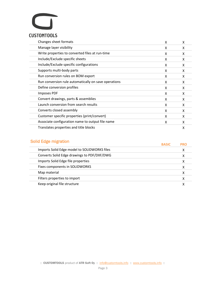

| Changes sheet formats                                | X | X |
|------------------------------------------------------|---|---|
| Manage layer visibility                              | X | X |
| Write properties to converted files at run-time      | X | X |
| Include/Exclude specific sheets                      | x | X |
| Include/Exclude specific configurations              | X | X |
| Supports multi-body parts                            | x | X |
| Run conversion rules on BOM export                   | x | X |
| Run conversion rule automatically on save operations | x | X |
| Define conversion profiles                           | X | X |
| Imposes PDF                                          | X | X |
| Convert drawings, parts & assemblies                 | X | X |
| Launch conversion from search results                | X | X |
| Converts closed assembly                             | X | X |
| Customer specific properties (print/convert)         | X | X |
| Associate configuration name to output file name     | X | X |
| Translates properties and title blocks               |   | X |

## Solid Edge migration

| <b>OURLAND HISROPHIS</b>                     | <b>BASIC</b> | PRO |
|----------------------------------------------|--------------|-----|
| Imports Solid Edge model to SOLIDWORKS files |              |     |
| Converts Solid Edge drawings to PDF/DXF/DWG  |              |     |
| Imports Solid Edge file properties           |              |     |
| Fixes components in SOLIDWORKS               |              |     |
| Map material                                 |              |     |
| Filters properties to import                 |              |     |
| Keep original file structure                 |              |     |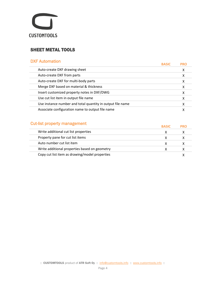

### SHEET METAL TOOLS

#### DXF Automation

| <b>DAF AULUITIQUUIT</b>                                    | <b>BASIC</b> | <b>PRO</b> |
|------------------------------------------------------------|--------------|------------|
| Auto-create DXF drawing sheet                              |              | х          |
| Auto-create DXF from parts                                 |              | Χ          |
| Auto-create DXF for multi-body parts                       |              | х          |
| Merge DXF based on material & thickness                    |              |            |
| Insert customized property notes in DXF/DWG                |              |            |
| Use cut list item in output file name                      |              | х          |
| Use instance number and total quantity in output file name |              | х          |
| Associate configuration name to output file name           |              |            |

### Cut-list property management

| <b>OUTS PROPERTY THURGEOILLE</b>               | <b>BASIC</b> | <b>PRO</b> |
|------------------------------------------------|--------------|------------|
| Write additional cut list properties           |              |            |
| Property pane for cut list items               |              |            |
| Auto number cut list item                      |              |            |
| Write additional properties based on geometry  |              |            |
| Copy cut list item as drawing/model properties |              |            |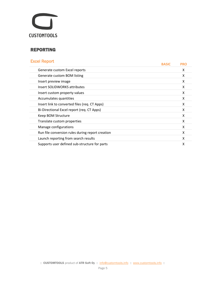

#### REPORTING

## Excel Report

| <b>LAVGI INGDUIT</b>                             | <b>BASIC</b> | <b>PRO</b> |
|--------------------------------------------------|--------------|------------|
| Generate custom Excel reports                    |              | X          |
| Generate custom BOM listing                      |              | X          |
| Insert preview image                             |              | x          |
| Insert SOLIDWORKS attributes                     |              | X          |
| Insert custom property values                    |              | X          |
| Accumulates quantities                           |              | X          |
| Insert link to converted files (req. CT Apps)    |              | X          |
| Bi-Directional Excel report (req. CT Apps)       |              | X          |
| Keep BOM Structure                               |              | X          |
| Translate custom properties                      |              | X          |
| Manage configurations                            |              | X          |
| Run file conversion rules during report creation |              | X          |
| Launch reporting from search results             |              | x          |
| Supports user defined sub-structure for parts    |              | x          |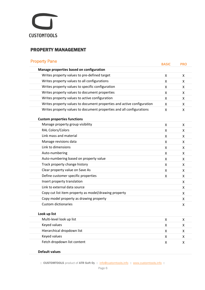

#### PROPERTY MANAGEMENT

## Property Pane **BASIC PRO Manage properties based on configuration** Writes property values to pre-defined target New York Changes and X X X X X X X Writes property values to all configurations <br>
X X Writes property values to specific configuration  $X$  X X Writes property values to document properties <br>
X X Writes property values to active configuration  $X$  X X Writes property values to document properties and active configuration  $X$   $X$ Writes property values to document properties and all configurations  $X$  X X **Custom properties functions** Manage property group visibility and the same state of the state of the state of the state of the state of the  $\chi$ RAL Colors/Colors X X X Link mass and material  $X$   $X$   $X$ Manage revisions data and the state of the state of the state of the state of the state of the state of the state of the state of the state of the state of the state of the state of the state of the state of the state of t Link to dimensions X X X X Auto-numbering X X Auto-numbering based on property value X X X X X X X Track property change history New York 2008 and 2008 and 2008 and 2008 and 2008 and 2008 and 2008 and 2008 and 2008 and 2008 and 2008 and 2008 and 2008 and 2008 and 2008 and 2008 and 2008 and 2008 and 2008 and 2008 and 200 Clear property value on Save As X X Define customer specific properties X X Insert property translation X Link to external data source X Copy cut list item property as model/drawing property Theorem 2012 Copy model property as drawing property X Custom dictionaries X **Look up list**

| Multi-level look up list    |  |
|-----------------------------|--|
| Keyed values                |  |
| Hierarchical dropdown list  |  |
| Keyed values                |  |
| Fetch dropdown list content |  |

#### **Default values**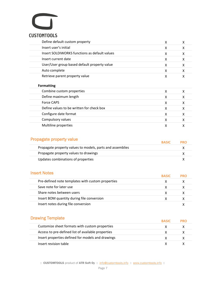

| Define default custom property                | x |   |
|-----------------------------------------------|---|---|
| Insert user's initial                         | x | х |
| Insert SOLDIWORKS functions as default values | x | χ |
| Insert current date                           | X | x |
| User/User group based default property value  | x | χ |
| Auto complete                                 | x |   |
| Retrieve parent property value                | x | х |
| <b>Formatting</b>                             |   |   |
| Combine custom properties                     | x |   |
| Define maximum length                         | Y |   |

| Define maximum length                     |  |
|-------------------------------------------|--|
| <b>Force CAPS</b>                         |  |
| Define values to be written for check box |  |
| Configure date format                     |  |
| Compulsory values                         |  |
| Multiline properties                      |  |

| <b>Propagate property value</b>                           | <b>BASIC</b> | <b>PRO</b> |
|-----------------------------------------------------------|--------------|------------|
| Propagate property values to models, parts and assemblies |              |            |
| Propagate property values to drawings                     |              |            |
| Updates combinations of properties                        |              |            |

#### Insert Notes

| II BULL NUL <del>U</del> S                        | <b>BASIC</b> | <b>PRO</b> |
|---------------------------------------------------|--------------|------------|
| Pre-defined note templates with custom properties |              |            |
| Save note for later use                           |              |            |
| Share notes between users                         |              |            |
| Insert BOM quantity during file conversion        |              |            |
| Insert notes during file conversion               |              |            |

| <b>Drawing Template</b>                            |              |            |
|----------------------------------------------------|--------------|------------|
|                                                    | <b>BASIC</b> | <b>PRO</b> |
| Customize sheet formats with custom properties     |              |            |
| Access to pre-defined list of available properties |              |            |
| Insert properties defined for models and drawings  |              |            |
| Insert revision table                              |              |            |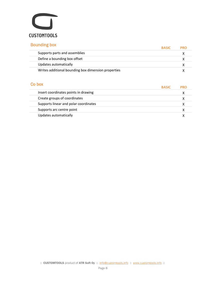

## Bounding box

| <b>DUUITUILIK DUA</b>                               | <b>BASIC</b> | <b>PRO</b> |
|-----------------------------------------------------|--------------|------------|
| Supports parts and assemblies                       |              |            |
| Define a bounding box offset                        |              |            |
| Updates automatically                               |              |            |
| Writes additional bounding box dimension properties |              |            |

#### Co box

|                                       | <b>BASIC</b> |  |
|---------------------------------------|--------------|--|
| Insert coordinates points in drawing  |              |  |
| Create groups of coordinates          |              |  |
| Supports linear and polar coordinates |              |  |
| Supports arc centre point             |              |  |
| Updates automatically                 |              |  |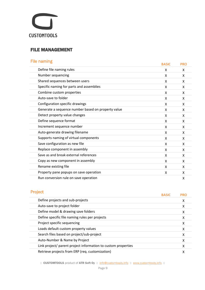

## FILE MANAGEMENT

#### File naming

| <b>FIIG HAIHING</b>                                | <b>BASIC</b> | <b>PRO</b> |
|----------------------------------------------------|--------------|------------|
| Define file naming rules                           | X            | x          |
| Number sequencing                                  | X            | X          |
| Shared sequences between users                     | X            | x          |
| Specific naming for parts and assemblies           | X            | x          |
| Combine custom properties                          | X            | x          |
| Auto-save to folder                                | X            | X          |
| Configuration specific drawings                    | X            | Χ          |
| Generate a sequence number based on property value | X            | X          |
| Detect property value changes                      | X            | X          |
| Define sequence format                             | X            | X          |
| Increment sequence number                          | X            | x          |
| Auto-generate drawing filename                     | X            | X          |
| Supports naming of virtual components              | X            | X          |
| Save configuration as new file                     | X            | X          |
| Replace component in assembly                      | X            | X          |
| Save as and break external references              | X            | X          |
| Copy as new component in assembly                  | X            | X          |
| Rename existing file                               | X            | X          |
| Property pane popups on save operation             | X            | x          |
| Run conversion rule on save operation              |              | X          |

#### Project

| <b>Project</b>                                                | <b>BASIC</b> | PRO |
|---------------------------------------------------------------|--------------|-----|
| Define projects and sub-projects                              |              | X   |
| Auto-save to project folder                                   |              | X   |
| Define model & drawing save folders                           |              | X   |
| Define specific file naming rules per projects                |              | X   |
| Project specific sequencing                                   |              | X   |
| Loads default custom property values                          |              | x   |
| Search files based on project/sub-project                     |              | X   |
| Auto-Number & Name by Project                                 |              | X   |
| Link project/ parent project information to custom properties |              | x   |
| Retrieve projects from ERP (req. customization)               |              |     |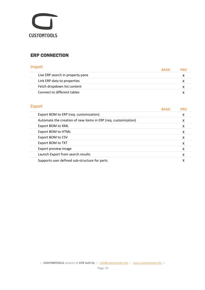

## ERP CONNECTION

#### Import

| <b>THIDOLL</b>                   | <b>BASIC</b> | <b>PRO</b> |
|----------------------------------|--------------|------------|
| Live ERP search in property pane |              |            |
| Link ERP data to properties      |              |            |
| Fetch dropdown list content      |              |            |
| Connect to different tables      |              |            |

## Export

| LANUIL                                                         | <b>BASIC</b> | PRO |
|----------------------------------------------------------------|--------------|-----|
| Export BOM to ERP (req. customization)                         |              | x   |
| Automate the creation of new items in ERP (req. customization) |              | х   |
| Export BOM to XML                                              |              | х   |
| <b>Export BOM to HTML</b>                                      |              | x   |
| Export BOM to CSV                                              |              | x   |
| Export BOM to TXT                                              |              | х   |
| Export preview image                                           |              | х   |
| Launch Export from search results                              |              |     |
| Supports user defined sub-structure for parts                  |              |     |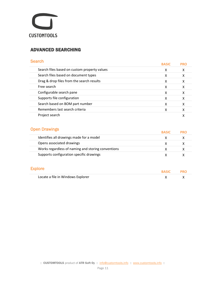

## ADVANCED SEARCHING

#### **Search**

| <b>Search</b>                                | <b>BASIC</b> | PRO |
|----------------------------------------------|--------------|-----|
| Search files based on custom property values | х            | х   |
| Search files based on document types         | x            |     |
| Drag & drop files from the search results    | x            | х   |
| Free search                                  | х            |     |
| Configurable search pane                     | x            | х   |
| Supports file configuration                  | χ            |     |
| Search based on BOM part number              | x            |     |
| Remembers last search criteria               |              |     |
| Project search                               |              |     |

## Open Drawings

| <b>UPULL DIAMILISO</b>                             | <b>BASIC</b> |  |
|----------------------------------------------------|--------------|--|
| Identifies all drawings made for a model           |              |  |
| Opens associated drawings                          |              |  |
| Works regardless of naming and storing conventions |              |  |
| Supports configuration specific drawings           |              |  |

#### Explore

| יטושו                             | <b>BASIC</b> | <b>PRO</b> |
|-----------------------------------|--------------|------------|
| Locate a file in Windows Explorer |              |            |